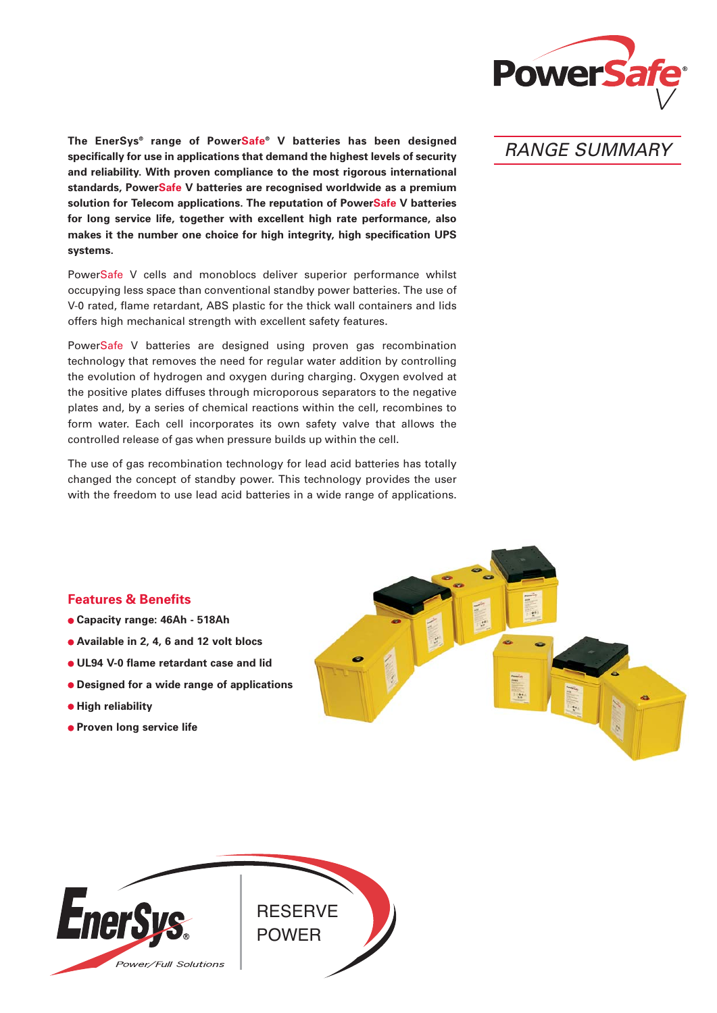

**The EnerSys® range of PowerSafe® V batteries has been designed specifically for use in applications that demand the highest levels of security and reliability. With proven compliance to the most rigorous international standards, PowerSafe V batteries are recognised worldwide as a premium solution for Telecom applications. The reputation of PowerSafe V batteries for long service life, together with excellent high rate performance, also makes it the number one choice for high integrity, high specification UPS systems.**

PowerSafe V cells and monoblocs deliver superior performance whilst occupying less space than conventional standby power batteries. The use of V-0 rated, flame retardant, ABS plastic for the thick wall containers and lids offers high mechanical strength with excellent safety features.

PowerSafe V batteries are designed using proven gas recombination technology that removes the need for regular water addition by controlling the evolution of hydrogen and oxygen during charging. Oxygen evolved at the positive plates diffuses through microporous separators to the negative plates and, by a series of chemical reactions within the cell, recombines to form water. Each cell incorporates its own safety valve that allows the controlled release of gas when pressure builds up within the cell.

The use of gas recombination technology for lead acid batteries has totally changed the concept of standby power. This technology provides the user with the freedom to use lead acid batteries in a wide range of applications.

# RANGE SUMMARY

## **Features & Benefits**

- **Capacity range: 46Ah 518Ah**
- **Available in 2, 4, 6 and 12 volt blocs**
- **UL94 V-0 flame retardant case and lid**
- **Designed for a wide range of applications**
- $\bullet$  **High reliability**
- **Proven long service life**